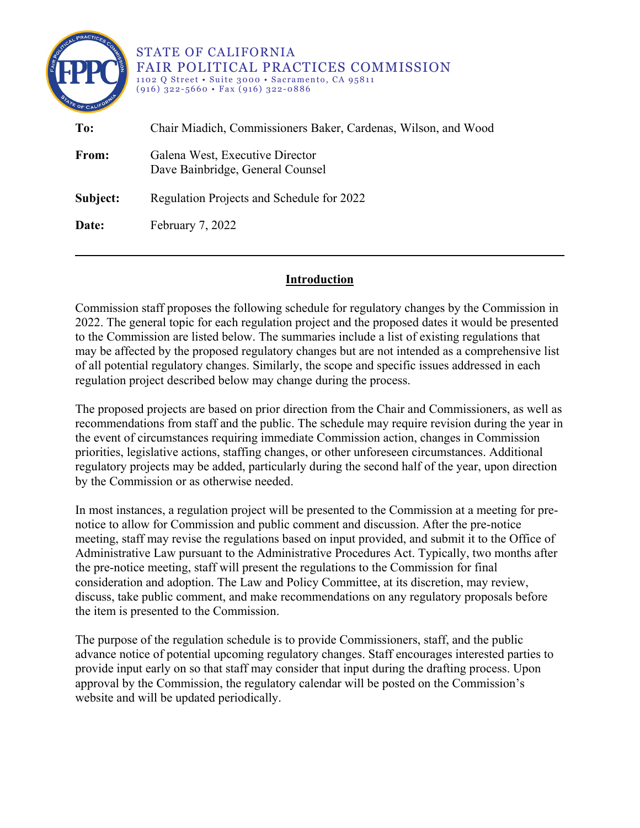| ATE OF CALIFO | <b>STATE OF CALIFORNIA</b><br><b>FAIR POLITICAL PRACTICES COMMISSION</b><br>1102 Q Street • Suite 3000 • Sacramento, CA 95811<br>$(916)$ 322-5660 • Fax $(916)$ 322-0886 |
|---------------|--------------------------------------------------------------------------------------------------------------------------------------------------------------------------|
| To:           | Chair Miadich, Commissioners Baker, Cardenas, Wilson, and Wood                                                                                                           |
| From:         | Galena West, Executive Director<br>Dave Bainbridge, General Counsel                                                                                                      |
| Subject:      | Regulation Projects and Schedule for 2022                                                                                                                                |
| Date:         | February 7, 2022                                                                                                                                                         |
|               |                                                                                                                                                                          |

## **Introduction**

Commission staff proposes the following schedule for regulatory changes by the Commission in 2022. The general topic for each regulation project and the proposed dates it would be presented to the Commission are listed below. The summaries include a list of existing regulations that may be affected by the proposed regulatory changes but are not intended as a comprehensive list of all potential regulatory changes. Similarly, the scope and specific issues addressed in each regulation project described below may change during the process.

The proposed projects are based on prior direction from the Chair and Commissioners, as well as recommendations from staff and the public. The schedule may require revision during the year in the event of circumstances requiring immediate Commission action, changes in Commission priorities, legislative actions, staffing changes, or other unforeseen circumstances. Additional regulatory projects may be added, particularly during the second half of the year, upon direction by the Commission or as otherwise needed.

In most instances, a regulation project will be presented to the Commission at a meeting for prenotice to allow for Commission and public comment and discussion. After the pre-notice meeting, staff may revise the regulations based on input provided, and submit it to the Office of Administrative Law pursuant to the Administrative Procedures Act. Typically, two months after the pre-notice meeting, staff will present the regulations to the Commission for final consideration and adoption. The Law and Policy Committee, at its discretion, may review, discuss, take public comment, and make recommendations on any regulatory proposals before the item is presented to the Commission.

The purpose of the regulation schedule is to provide Commissioners, staff, and the public advance notice of potential upcoming regulatory changes. Staff encourages interested parties to provide input early on so that staff may consider that input during the drafting process. Upon approval by the Commission, the regulatory calendar will be posted on the Commission's website and will be updated periodically.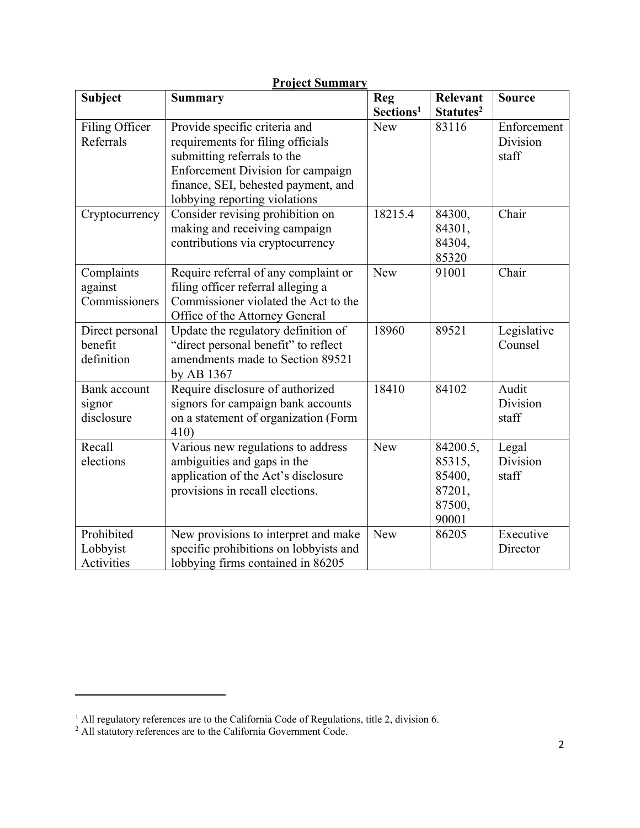| <b>Project Summary</b>                   |                                                                                                                                                                                                                |                                     |                                                           |                                  |  |
|------------------------------------------|----------------------------------------------------------------------------------------------------------------------------------------------------------------------------------------------------------------|-------------------------------------|-----------------------------------------------------------|----------------------------------|--|
| <b>Subject</b>                           | <b>Summary</b>                                                                                                                                                                                                 | <b>Reg</b><br>Sections <sup>1</sup> | <b>Relevant</b><br>Statutes <sup>2</sup>                  | <b>Source</b>                    |  |
| Filing Officer<br>Referrals              | Provide specific criteria and<br>requirements for filing officials<br>submitting referrals to the<br>Enforcement Division for campaign<br>finance, SEI, behested payment, and<br>lobbying reporting violations | <b>New</b>                          | 83116                                                     | Enforcement<br>Division<br>staff |  |
| Cryptocurrency                           | Consider revising prohibition on<br>making and receiving campaign<br>contributions via cryptocurrency                                                                                                          | 18215.4                             | 84300,<br>84301,<br>84304,<br>85320                       | Chair                            |  |
| Complaints<br>against<br>Commissioners   | Require referral of any complaint or<br>filing officer referral alleging a<br>Commissioner violated the Act to the<br>Office of the Attorney General                                                           | <b>New</b>                          | 91001                                                     | Chair                            |  |
| Direct personal<br>benefit<br>definition | Update the regulatory definition of<br>"direct personal benefit" to reflect<br>amendments made to Section 89521<br>by AB 1367                                                                                  | 18960                               | 89521                                                     | Legislative<br>Counsel           |  |
| Bank account<br>signor<br>disclosure     | Require disclosure of authorized<br>signors for campaign bank accounts<br>on a statement of organization (Form<br>410)                                                                                         | 18410                               | 84102                                                     | Audit<br>Division<br>staff       |  |
| Recall<br>elections                      | Various new regulations to address<br>ambiguities and gaps in the<br>application of the Act's disclosure<br>provisions in recall elections.                                                                    | <b>New</b>                          | 84200.5,<br>85315,<br>85400,<br>87201,<br>87500,<br>90001 | Legal<br>Division<br>staff       |  |
| Prohibited<br>Lobbyist<br>Activities     | New provisions to interpret and make<br>specific prohibitions on lobbyists and<br>lobbying firms contained in 86205                                                                                            | New                                 | 86205                                                     | Executive<br>Director            |  |

 $\overline{a}$ 

<span id="page-1-0"></span> $<sup>1</sup>$  All regulatory references are to the California Code of Regulations, title 2, division 6.</sup>

<span id="page-1-1"></span> $2$  All statutory references are to the California Government Code.